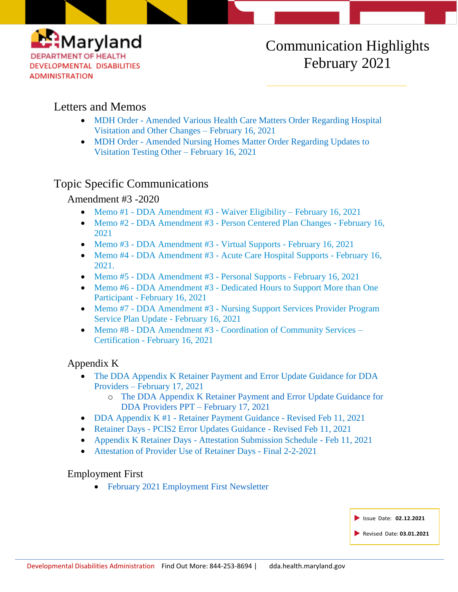

# Communication Highlights February 2021

# Letters and Memos

- MDH Order [Amended Various Health Care Matters Order Regarding Hospital](https://dda.health.maryland.gov/Documents/COVID%2019%20Documents/Memos%20Guidance/2.16.21/2021.02.11.01%20-%20MDH%20Order%20-%20Amended%20Various%20Health%20Care%20Matters%20Order%20(Hospital%20Visitation%20and%20Other%20Changes.pdf)  [Visitation and Other Changes –](https://dda.health.maryland.gov/Documents/COVID%2019%20Documents/Memos%20Guidance/2.16.21/2021.02.11.01%20-%20MDH%20Order%20-%20Amended%20Various%20Health%20Care%20Matters%20Order%20(Hospital%20Visitation%20and%20Other%20Changes.pdf) February 16, 2021
- MDH Order Amended Nursing Homes Matter Order Regarding Updates to [Visitation Testing Other –](https://dda.health.maryland.gov/Documents/COVID%2019%20Documents/Memos%20Guidance/2.16.21/2021.02.11.02%20-%20MDH%20Order%20-%20Amended%20Nursing%20Homes%20Matter%20Order%20(Feb%202021%20Updates%20to%20Visitation%20Testing%20Other).pdf) February 16, 2021

# Topic Specific Communications

# Amendment #3 -2020

- Memo #1 [DDA Amendment #3](https://dda.health.maryland.gov/Documents/Waiver%20Documents/DDA%20Amendment%203%20-%202020%20Memo%20Guidance/Memo%201%20-%20DDA%20Amendment%203%20-Waiver%20Eligibility%20-%20Final%20Feb%2016,%202021.pdf) Waiver Eligibility February 16, 2021
- Memo #2 DDA Amendment #3 [Person Centered Plan Changes -](https://dda.health.maryland.gov/Documents/Waiver%20Documents/DDA%20Amendment%203%20-%202020%20Memo%20Guidance/Memo%202%20-%20DDA%20Amendment%203%20-%20Person%20Centered%20Plan%20Changes%20Final%20Feb%2016,%202021.pdf) February 16, [2021](https://dda.health.maryland.gov/Documents/Waiver%20Documents/DDA%20Amendment%203%20-%202020%20Memo%20Guidance/Memo%202%20-%20DDA%20Amendment%203%20-%20Person%20Centered%20Plan%20Changes%20Final%20Feb%2016,%202021.pdf)
- Memo #3 [DDA Amendment #3 -](https://dda.health.maryland.gov/Documents/Waiver%20Documents/DDA%20Amendment%203%20-%202020%20Memo%20Guidance/Memo%203%20-%20DDA%20Amendment%203%20-%20Virtual%20Supports%20Final%20Feb%2016,%202021.pdf) Virtual Supports February 16, 2021
- Memo #4 DDA Amendment #3 [Acute Care Hospital Supports -](https://dda.health.maryland.gov/Documents/Waiver%20Documents/DDA%20Amendment%203%20-%202020%20Memo%20Guidance/Memo%204%20-%20DDA%20Amendment%203%20-%20%20Acute%20Care%20Hospital%20Supports%20Final%20Feb%2016,%202021.pdf) February 16, [2021.](https://dda.health.maryland.gov/Documents/Waiver%20Documents/DDA%20Amendment%203%20-%202020%20Memo%20Guidance/Memo%204%20-%20DDA%20Amendment%203%20-%20%20Acute%20Care%20Hospital%20Supports%20Final%20Feb%2016,%202021.pdf)
- Memo #5 [DDA Amendment #3 -](https://dda.health.maryland.gov/Documents/Waiver%20Documents/DDA%20Amendment%203%20-%202020%20Memo%20Guidance/Memo%205%20-%20DDA%20Amendment%203%20-%20%20Personal%20Supports%20Final%20Draft%202-14-2021.pdf) Personal Supports February 16, 2021
- Memo #6 DDA Amendment #3 Dedicated Hours to Support More than One Participant - [February 16, 2021](https://dda.health.maryland.gov/Documents/Waiver%20Documents/DDA%20Amendment%203%20-%202020%20Memo%20Guidance/Memo%206%20-%20DDA%20Amendment%203%20-%20%20Dedicated%20Hours%20to%20Support%20More%20than%20One%20Participant%20Final%20Feb%2016%202021.pdf)
- Memo #7 DDA Amendment #3 Nursing Support Services Provider Program [Service Plan Update](https://dda.health.maryland.gov/Documents/Waiver%20Documents/DDA%20Amendment%203%20-%202020%20Memo%20Guidance/Memo%207%20-%20DDA%20Amendment%203%20-%20%20Nursing%20Support%20Services%20Provider%20Program%20Service%20Plan%20Update%20Final%20Feb%2016,%202021.pdf) - February 16, 2021
- Memo #8 DDA Amendment #3 [Coordination of Community Services –](https://dda.health.maryland.gov/Documents/Waiver%20Documents/DDA%20Amendment%203%20-%202020%20Memo%20Guidance/Memo%208%20-%20DDA%20Amendment%203%20-%20%20Coordination%20of%20Community%20Services%20-%20Certification%20Final%20Feb%2016,%202021.pdf) Certification - [February 16, 2021](https://dda.health.maryland.gov/Documents/Waiver%20Documents/DDA%20Amendment%203%20-%202020%20Memo%20Guidance/Memo%208%20-%20DDA%20Amendment%203%20-%20%20Coordination%20of%20Community%20Services%20-%20Certification%20Final%20Feb%2016,%202021.pdf)

# Appendix K

- The [DDA Appendix K Retainer Payment and Error Update Guidance for DDA](https://youtu.be/3iNpmNGzbi8)  Providers – [February 17,](https://youtu.be/3iNpmNGzbi8) 2021
	- o The [DDA Appendix K Retainer Payment and Error Update Guidance for](https://dda.health.maryland.gov/Documents/COVID%2019%20Documents/Appendix%20K/2.19.21/Webinar%20Error%20Update%20and%20New%20Retainer%20Day%20Policy%20Guidance%20For%20Providers%20Reviewed%20v2.pdf)  [DDA Providers PPT –](https://dda.health.maryland.gov/Documents/COVID%2019%20Documents/Appendix%20K/2.19.21/Webinar%20Error%20Update%20and%20New%20Retainer%20Day%20Policy%20Guidance%20For%20Providers%20Reviewed%20v2.pdf) February 17, 2021
- DDA Appendix K #1 [Retainer Payment Guidance -](http://r20.rs6.net/tn.jsp?f=001cFoyUP3FrMvjG7NcCL7FVoETloCGrFqX-qoH00T97EKwguTrFP3nW52esImCkdNpWy3iPvRfxTvqJRSZOHMDl6RLAhyomlxzeEH453oP4Sy_Zwso4uODIdZzIfTBBmJ8SG75-kGO0KB4lgFmRPfijdFfSeEGnIBrxHLwqgnWveMxjT0u05Dbx1MOG8PZzP8w10RSjFPE7kWPUMxnQcLwEWAzszk6qLreAQbRglCsomJZYxMvkIJUdtGhDCgJUdyxJzMfZ3ZVfv9nA8vOq5Dib8AHLkCeEZJQMWIJE79CALRGNpEhHj0dsbll5wVtTg5Exa9ImVMUzSWjeOBKiE7qv_qqbJ8dfwILc6RSofNly3ERt8eSwtVzfCIlN0S4nyQ_&c=vu1NxZGVTBuQOEDg5UDtm8c04ZM3QErLyq_mTaStBo5DAkGwczg01w==&ch=d0DGAlFnPNbS0oGB4hFO6-iNaa9jP3BzJ1eELGh_y8ha9p-ZmdLs0g==) Revised Feb 11, 2021
- Retainer Days [PCIS2 Error Updates Guidance -](http://r20.rs6.net/tn.jsp?f=001cFoyUP3FrMvjG7NcCL7FVoETloCGrFqX-qoH00T97EKwguTrFP3nW52esImCkdNpG5JOPooIbD91-_gkrJ76wP4JuYWv1BCmmU0kMW4QhRObkm6IntH3lEydBLCCY2I-Dj4eXqUH8v18_cfA97S-UAZVw_tzpwbKyOTElvHPVIQtXeJfrKmIC68kZdplhguqzMgxuw-auvcKFc4q_hrWc0r-2zp_pjo7VtKR8wC3D5SCGRM7hUGVvkZBddiGiXdmr7ncPl-A5TNEsiaRqIHIA4T6zHZkZWDwYuTuMDJ20R1H6HZ3ZVB-tHttVyUyh4Yx41KuVYdFZwtdvJ_K-P9yhLGHaylteOznbdZfuI3qFqCF7EQf8LuCa0zzRih_dsPcb5DYcBwq41GE5rAmbUXYxg==&c=vu1NxZGVTBuQOEDg5UDtm8c04ZM3QErLyq_mTaStBo5DAkGwczg01w==&ch=d0DGAlFnPNbS0oGB4hFO6-iNaa9jP3BzJ1eELGh_y8ha9p-ZmdLs0g==) Revised Feb 11, 2021
- Appendix K Retainer Days [Attestation Submission Schedule -](http://r20.rs6.net/tn.jsp?f=001cFoyUP3FrMvjG7NcCL7FVoETloCGrFqX-qoH00T97EKwguTrFP3nW52esImCkdNpU1AVDysgYYA1cS8HWxBChJSy8yCE6J3lw-dcFgo34HvgIF4DVpTAjd0dZKqu-AI3Ak_S0drqgCQMo98jTMxA4aoEAJD0gCY4GYQEkJMO40TnDs44kTv4a6ls3YcQp11Xvtlhm0WDvCadAJ_gBWM_3jf2VY9CwGl_7XfbtxcOmZMA5LfnVn1U_IhIBS2ia1WSRQlZPPCpGrhncWNzT7sALeSqW6iY5h_dZclyMTTFfjOrf9QhGSYm8IfSkP81hCus9yV2WJkMH3mfATXHQl6HxeZntv87Xqd6qGcEm4JfDdS120glb4YextcEDS9PYuqT4BHKaPdRAFR4soq4RFVI0UnIDUDClNPj&c=vu1NxZGVTBuQOEDg5UDtm8c04ZM3QErLyq_mTaStBo5DAkGwczg01w==&ch=d0DGAlFnPNbS0oGB4hFO6-iNaa9jP3BzJ1eELGh_y8ha9p-ZmdLs0g==) Feb 11, 2021
- [Attestation of Provider Use of Retainer Days -](http://r20.rs6.net/tn.jsp?f=001cFoyUP3FrMvjG7NcCL7FVoETloCGrFqX-qoH00T97EKwguTrFP3nW52esImCkdNpdCk8XbB5M1GThal4jyx52uyK4v2e9alrEMQGQRBIE-e3KaK6cmw8c4zTxtVbLVMJiG53Umd7AUBPpkJVoZZF9MryOU3Akx1j9eKzbAaUxlt18CMg7UUSPGkQIYoDkZElCK5byg666r1zptlAW6Qnf5UIGcrPhN89dHZZSSyQ423fyV2-uxl1zD5gMZYGLkeC58q6imBNUCMiglzaKCeXRaou4nNqvJkqcoVtHZI9BrX1m9MzFAE_c-oS5HD8045bcGimWMD8_s9DTlxgZY5MTtiPoY4pjQM4g5vvWm852D_VxliKQmrktYPDUQWdX4etuZ-j6a0UTo0=&c=vu1NxZGVTBuQOEDg5UDtm8c04ZM3QErLyq_mTaStBo5DAkGwczg01w==&ch=d0DGAlFnPNbS0oGB4hFO6-iNaa9jP3BzJ1eELGh_y8ha9p-ZmdLs0g==) Final 2-2-2021

### Employment First

• February [2021 Employment First Newsletter](https://conta.cc/3sr2n0n)

| Sissue Date: 02.12.2021  |
|--------------------------|
| Revised Date: 03.01.2021 |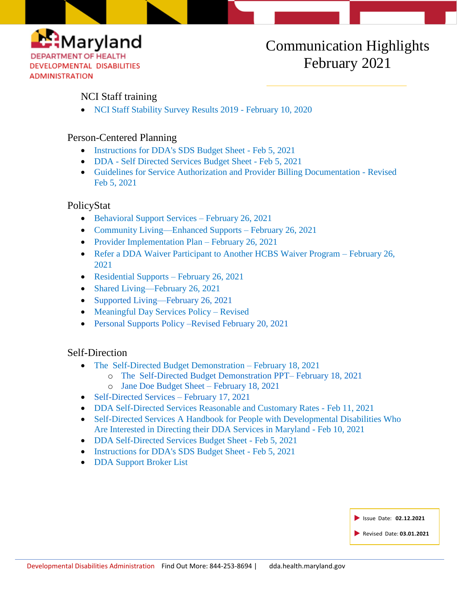

# Communication Highlights February 2021

## NCI Staff training

• [NCI Staff Stability Survey Results 2019 -](https://dda.health.maryland.gov/Documents/2019%20SSS%20General%20Announcement%20(002)210210_%20NCI%C2%A9%20Staff%20survey.pdf) February 10, 2020

## Person-Centered Planning

- [Instructions for DDA's SDS Budget Sheet -](https://dda.health.maryland.gov/Documents/Person-Centered%20Planning/2.5.21/Instructions%20for%20DDA%27s%20SDS%20Budget%20Sheet%202-5-2021%20-%20Final.pdf) Feb 5, 2021
- DDA [Self Directed Services Budget Sheet -](https://dda.health.maryland.gov/Documents/Person-Centered%20Planning/2.8.21/DDA%20-%20SDS%20Budget%20Sheet%20%202-5-2021%20Final.zip) Feb 5, 2021
- [Guidelines for Service Authorization and Provider Billing Documentation -](https://dda.health.maryland.gov/Documents/Person-Centered%20Planning/2.5.21/DDA%20-%20Service%20Authorization%20and%20Provider%20Billing%20Document%20-%20Revised%202-5-2021%20Final.pdf) Revised [Feb 5, 2021](https://dda.health.maryland.gov/Documents/Person-Centered%20Planning/2.5.21/DDA%20-%20Service%20Authorization%20and%20Provider%20Billing%20Document%20-%20Revised%202-5-2021%20Final.pdf)

### PolicyStat

- [Behavioral Support Services](https://dhmh.policystat.com/?lt=FGOOt-k9bPID7nabPPUk8c&next=%2Fpolicy%2F9287179%2Flatest%2F) February 26, 2021
- [Community Living—Enhanced Supports –](https://dhmh.policystat.com/?lt=FGOOt-k9bPID7nabPPUk8c&next=%2Fpolicy%2F9028061%2Flatest%2F) February 26, 2021
- [Provider Implementation Plan –](https://dhmh.policystat.com/?lt=FGOOt-k9bPID7nabPPUk8c&next=%2Fpolicy%2F9134136%2Flatest%2F) February 26, 2021
- [Refer a DDA Waiver Participant to Another HCBS Waiver Program –](https://dhmh.policystat.com/?lt=FGOOt-k9bPID7nabPPUk8c&next=%2Fpolicy%2F9346912%2Flatest%2F) February 26, [2021](https://dhmh.policystat.com/?lt=FGOOt-k9bPID7nabPPUk8c&next=%2Fpolicy%2F9346912%2Flatest%2F)
- [Residential Supports –](https://dhmh.policystat.com/?lt=FGOOt-k9bPID7nabPPUk8c&next=%2Fpolicy%2F9025244%2Flatest%2F) February 26, 2021
- [Shared Living—February 26, 2021](https://dhmh.policystat.com/?lt=FGOOt-k9bPID7nabPPUk8c&next=%2Fpolicy%2F9026663%2Flatest%2F)
- [Supported Living—February 26, 2021](https://dhmh.policystat.com/?lt=FGOOt-k9bPID7nabPPUk8c&next=%2Fpolicy%2F9025798%2Flatest%2F)
- [Meaningful Day Services Policy –](https://dhmh.policystat.com/policy/8337867/latest/) Revised
- [Personal Supports Policy –Revised February 20, 2021](https://dhmh.policystat.com/?lt=FGOOt-k9bPID7nabPPUk8c&next=%2Fpolicy%2F8452079%2Flatest%2F)

### Self-Direction

- [The Self-Directed Budget Demonstration –](https://youtu.be/37uH5Vd_zic) February 18, 2021
	- o [The Self-Directed Budget Demonstration PPT–](https://dda.health.maryland.gov/Documents/Self-Directed%20Services%20Guidance,%20Forms,%20and,%20Webinars/2.19.21/Slides%20for%20DDA%20SD%20Budget%20Sheet%20Demo.pdf) February 18, 2021
	- o [Jane Doe Budget Sheet –](https://dda.health.maryland.gov/Documents/Self-Directed%20Services%20Guidance,%20Forms,%20and,%20Webinars/2.19.21/Jane%20Doe%20Budget%20Sheet%20%20Feb%2018,.pdf) February 18, 2021
- [Self-Directed Services –](https://dda.health.maryland.gov/Pages/Self-Determination.aspx) February 17, 2021
- DDA Self-Directed Services Reasonable and Customary Rates Feb 11, 2021
- [Self-Directed Services A Handbook for People with Developmental Disabilities Who](http://r20.rs6.net/tn.jsp?f=001aW8fKTyLYvLXXKz9GggBcNjJvJEc-p0bs4FoeFZ8ZTkWi9Q0WCvxWp9sABaBN0n5Es36aoM5Bao8iNI1YMvbmQG23AGhuFnbmOCLv7zbQBBJQbUZJ1Lbf1EvZiuLC8HMtWNcjHCibLTqCxFVLzTeW4KQPzjQMux8Im28A-hL_8vSyvV5MwAk_WcqSlFdQYfbtYdeIu-gF3SdtDm8btN9rZOHTBb0uQgQCN_dFs9_nECtO-3C-MRHVEFq2UKqInkWPvHCXCXFG6e69phGAuGPr9QrsAb1HOkdsT3Bjr5Uje2qW4GW62jils3artGw2zb6cXBLWLnWwKf55txNTwyf_Ey6mVsJgvN-rxuIA7R6d4FX3YGDR9f8BuTl2CJOswTa9ezwA3_o7NE7tACrIbWSgQ==&c=Xo4DZ9rT9AIeF2igc0hcXhll0puDgjCHrVik1B6ZL0c04w4qmmvE9A==&ch=7oTljhgbkMusL0XPOxcM3-yoxtQdoMqmZFzJJhEAfjYC_M2spDtT7Q==)  [Are Interested in Directing their DDA Services in Maryland -](http://r20.rs6.net/tn.jsp?f=001aW8fKTyLYvLXXKz9GggBcNjJvJEc-p0bs4FoeFZ8ZTkWi9Q0WCvxWp9sABaBN0n5Es36aoM5Bao8iNI1YMvbmQG23AGhuFnbmOCLv7zbQBBJQbUZJ1Lbf1EvZiuLC8HMtWNcjHCibLTqCxFVLzTeW4KQPzjQMux8Im28A-hL_8vSyvV5MwAk_WcqSlFdQYfbtYdeIu-gF3SdtDm8btN9rZOHTBb0uQgQCN_dFs9_nECtO-3C-MRHVEFq2UKqInkWPvHCXCXFG6e69phGAuGPr9QrsAb1HOkdsT3Bjr5Uje2qW4GW62jils3artGw2zb6cXBLWLnWwKf55txNTwyf_Ey6mVsJgvN-rxuIA7R6d4FX3YGDR9f8BuTl2CJOswTa9ezwA3_o7NE7tACrIbWSgQ==&c=Xo4DZ9rT9AIeF2igc0hcXhll0puDgjCHrVik1B6ZL0c04w4qmmvE9A==&ch=7oTljhgbkMusL0XPOxcM3-yoxtQdoMqmZFzJJhEAfjYC_M2spDtT7Q==) Feb 10, 2021
- [DDA Self-Directed Services Budget Sheet -](http://r20.rs6.net/tn.jsp?f=001aW8fKTyLYvLXXKz9GggBcNjJvJEc-p0bs4FoeFZ8ZTkWi9Q0WCvxWp9sABaBN0n5WAAkbttwDrN_ydDtafABZ0-azp_KG9i2nU_-kkamGNUNsLuKV35f0tvgDa6vqugv7UPRpSd8CuxiYunvOKWA4euqLj1SSbIfVmyibnzkqTxKqcI5GEqsBilJXDk7S_ANLSTWZVSm75PGPzLqGAyhR_o17jA7OyitkgQs7_6P7rX0FqQ1zih5-o5rAApL8cBU2UtjUtmUPYKCpSqZG4ye-Zq_yFxvisefiGwI6CMiIQ4fsIs4VJJLbLm9NIPjKWM3&c=Xo4DZ9rT9AIeF2igc0hcXhll0puDgjCHrVik1B6ZL0c04w4qmmvE9A==&ch=7oTljhgbkMusL0XPOxcM3-yoxtQdoMqmZFzJJhEAfjYC_M2spDtT7Q==) Feb 5, 2021
- [Instructions for DDA's SDS Budget Sheet -](http://r20.rs6.net/tn.jsp?f=001aW8fKTyLYvLXXKz9GggBcNjJvJEc-p0bs4FoeFZ8ZTkWi9Q0WCvxWp9sABaBN0n5SzeAs7dhq1oXn6i0hnZZkKctl98JbqIJUv4e_MYOelmPQQKqbKdYybe51Fr8ft9OiAD3DGLWe7xPdHu-Eq-DEtOuX__0VhMJzqyPqbgXi0oadeRhF79c3oPEk27p3CdpJBNboTU8-KPnyhrdgWre3DJviyVR4iByNxmXkNafSrbFFQts5AVrv-FzdOY_hrmrZJ4PIiLgksfMzjTWb-fsxlfQkXdWqS6xLV_odMhqvfeyCd81n3woEpQN12VrhY78CKtUda8RYLEkCdodBbFNJd7pQVlXZxOj&c=Xo4DZ9rT9AIeF2igc0hcXhll0puDgjCHrVik1B6ZL0c04w4qmmvE9A==&ch=7oTljhgbkMusL0XPOxcM3-yoxtQdoMqmZFzJJhEAfjYC_M2spDtT7Q==) Feb 5, 2021
- [DDA Support Broker List](http://r20.rs6.net/tn.jsp?f=001aW8fKTyLYvLXXKz9GggBcNjJvJEc-p0bs4FoeFZ8ZTkWi9Q0WCvxWp9sABaBN0n51-c9eQeYbm1MdiDjsq2lKIGr_gcdgfA15xmttSytB-3RzOktskuWEW5qSYLDZRORmxDTf3goI2Y5-9DL8zty8SqnmZF7BAjS7V0KbIUp9sC8_-cmuV7Hw3nuIvTRsZXqwDaDYQGSgNbTrzwk6mr695zRfRVsS5k8BieXY-T67C2Q6_zAwfcjlbt0I1bQ3Gf0kX6Fp5Rpyk1de4jpmlp28T06Eg1tgP7kjr5Kr05A3ti-DFYlxhu-Xv_vMgQYoL2LfUcyZaisOgmS1MXv5VPwT9SW0W-XUdWWW73zCWNz1ImTLOlmS1J7sg==&c=Xo4DZ9rT9AIeF2igc0hcXhll0puDgjCHrVik1B6ZL0c04w4qmmvE9A==&ch=7oTljhgbkMusL0XPOxcM3-yoxtQdoMqmZFzJJhEAfjYC_M2spDtT7Q==)

| Simple 18 Issue Date: 02.12.2021 |
|----------------------------------|
| Revised Date: 03.01.2021         |